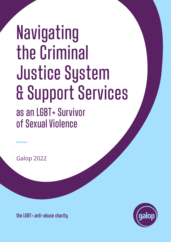# Navigating the Criminal Justice System & Support Services as an LGBT+ Survivor of Sexual Violence

Galop 2022

**the LGBT+ anti-abuse charity**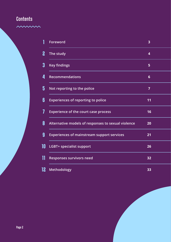# **Contents**

mmm

|    | Foreword                                           | $\overline{\mathbf{3}}$ |  |
|----|----------------------------------------------------|-------------------------|--|
| 2  | The study                                          | 4                       |  |
| 3  | <b>Key findings</b>                                | 5                       |  |
| 4  | <b>Recommendations</b>                             | $6\phantom{1}6$         |  |
| 5  | Not reporting to the police                        | $\overline{7}$          |  |
| 6  | <b>Experiences of reporting to police</b>          | 11                      |  |
| 7  | <b>Experience of the court case process</b>        | 16                      |  |
| 8  | Alternative models of responses to sexual violence | 20                      |  |
| 9  | <b>Experiences of mainstream support services</b>  | 21                      |  |
| 10 | <b>LGBT+ specialist support</b>                    | 26                      |  |
| 11 | <b>Responses survivors need</b>                    | 32                      |  |
| 12 | <b>Methodology</b>                                 | 33                      |  |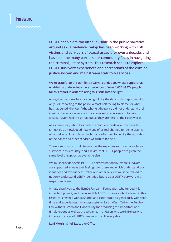# **Foreword**

**LGBT+ people are too often invisible in the public narrative around sexual violence. Galop has been working with LGBT+ victims and survivors of sexual assault for over a decade, and has seen the many barriers our community faces in navigating the criminal justice system. This research seeks to explore LGBT+ survivors' experiences and perceptions of the criminal justice system and mainstream statutory services.** 

**We're grateful to the Esmée Fairbairn Foundation, whose support has enabled us to delve into the experiences of over 1,000 LGBT+ people for this report in order to bring this issue into the light.** 

Alongside the powerful story being told by the data in this report — with only 12% reporting to the police, almost half feeling to blame for what has happened, the four fifths who felt the police did not understand their identity, the very low rate of convictions — I encourage you to take in what survivors had to say, laid out as they are here, in their own words.

As a community which has had to reclaim our pride over the decades, it must be acknowledged how many of us feel shamed for being victims of sexual assault, and how much that is often reinforced by the attitudes of the police and other services we turn to for help.

There is much work to do to improve the experiences of sexual violence survivors in this country, and it is vital that LGBT+ people are given the same level of support as everyone else.

We must provide specialist LGBT+ services nationally, where survivors are supported in ways that feel right for them and which understand our identities and experiences. Police and other services must be trained to not only understand LGBT+ identities, but to treat LGBT+ survivors with respect and care.

A huge thank you to the Esmée Fairbairn Foundation who funded this important project, and the incredible LGBT+ survivors who believed in this research, engaged with it, shared and contributed so generously with their time and experiences. I'm also grateful to Sarah West, Catherine Bewley, Lou Withers Green and Honor Gray for producing this important and timely report, as well as the whole team at Galop who work tirelessly to improve the lives of LGBT+ people in the UK every day.

**Leni Morris, Chief Executive Officer**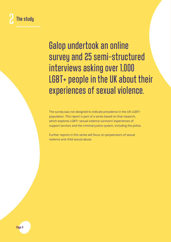

Galop undertook an online survey and 25 semi-structured interviews asking over 1,000 LGBT+ people in the UK about their experiences of sexual violence.

The survey was not designed to indicate prevalence in the UK LGBT+ population. This report is part of a series based on that research, which explores LGBT+ sexual violence survivors' experiences of support services and the criminal justice system, including the police.

Further reports in this series will focus on perpetrators of sexual violence and child sexual abuse.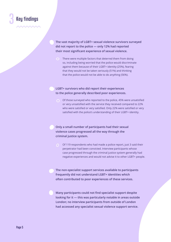

**The vast majority of LGBT+ sexual violence survivors surveyed did not report to the police — only 12% had reported their most significant experience of sexual violence.** 

There were multiple factors that deterred them from doing so, including being worried that the police would discriminate against them because of their LGBT+ identity (25%), fearing that they would not be taken seriously (51%) and thinking that the police would not be able to do anything (56%).

#### **LGBT+ survivors who did report their experiences to the police generally described poor experiences.**

Of those surveyed who reported to the police, 45% were unsatisfied or very unsatisfied with the service they received compared to 22% who were satisfied or very satisfied. Only 22% were satisfied or very satisfied with the police's understanding of their LGBT+ identity.

**Only a small number of participants had their sexual violence cases progressed all the way through the criminal justice system.**

Of 119 respondents who had made a police report, just 3 said their perpetrator had been convicted. Interview participants whose case progressed through the criminal justice system generally had negative experiences and would not advise it to other LGBT+ people.

**The non-specialist support services available to participants frequently did not understand LGBT+ identities which often contributed to poor experiences of these services.** 

**Many participants could not find specialist support despite looking for it — this was particularly notable in areas outside London; no interview participants from outside of London had accessed any specialist sexual violence support service.**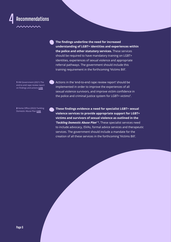

**The findings underline the need for increased understanding of LGBT+ identities and experiences within the police and other statutory services.** These services should be required to have mandatory training on LGBT+ identities, experiences of sexual violence and appropriate referral pathways. The government should include this training requirement in the forthcoming 'Victims Bill'.

**1** HM Government (2021) The end-to-end rape review report on findings and actions **[Link](https://assets.publishing.service.gov.uk/government/uploads/system/uploads/attachment_data/file/1001417/end-to-end-rape-review-report-with-correction-slip.pdf)**

Actions in the 'end-to-end rape review report' should be implemented in order to improve the experiences of all sexual violence survivors, and improve victim confidence in the police and criminal justice system for LGBT+ victims**<sup>1</sup>** .

**2** Home Office (2022) Tackling Domestic Abuse Plan **[Link](https://www.gov.uk/government/publications/tackling-domestic-abuse-plan)**

**These findings evidence a need for specialist LGBT+ sexual violence services to provide appropriate support for LGBT+ victims and survivors of sexual violence as outlined in the**  *'Tackling Domestic Abuse Plan'* **<sup>2</sup> .** These specialist services need to include advocacy, ISVAs, formal advice services and therapeutic services. The government should include a mandate for the creation of all these services in the forthcoming 'Victims Bill'.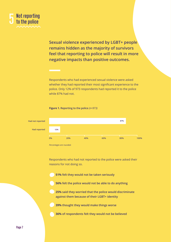

**74% negative impacts than positive outcomes. Sexual violence experienced by LGBT+ people remains hidden as the majority of survivors feel that reporting to police will result in more** 

Respondents who had experienced sexual violence were asked whether they had reported their most significant experience to the police. Only 12% of 973 respondents had reported it to the police while 87% had not.



#### **Figure 1. Reporting to the police** *(n=973)*

**12.4%** Respondents who had not reported to the police were asked their reasons for not doing so.

- **10% 10% 60% 60% 100% 80% 80% 80% 80% 80% 80% 80% 80% 80% 80%** 
	- **56% felt the police would not be able to do anything**
	- **25% said they worried that the police would discriminate against them because of their LGBT+ identity**
	- **39% thought they would make things worse**
	- **36% of respondents felt they would not be believed**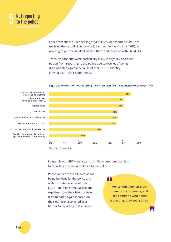

Other reasons included feeling at fault (47%) or ashamed (51%), not realising the sexual violence would be classified as a crime (46%), or wanting to put the incident behind them and move on with life (47%).

**0% 20% 40% 60% 80% 100%**

Trans respondents were particularly likely to say they had been put off from reporting to the police due to worries of being discriminated against because of their LGBT+ identity (34% of 337 trans respondents).

#### **Figure 2. Reasons for not reporting their most significant experience to police** *(n=762)*



**be able to do anything Did not think they would take me seriously Felt ashamed Did not know it was a crime Did not think they would believe me Felt at fault Just wanted to put it behind me Worried they would discriminate against me due to LGBT+ identity**

**Did not think they would**

In interviews, LGBT+ participants similarly described barriers to reporting the sexual violence to the police.

Participants described fears of not being believed by the police and wider society because of their LGBT+ identity. Some participants explained that their fears of being discriminated against based on their ethnicity also acted as a barrier to reporting to the police.

**Police don't look at Black men, or trans people, and see someone who needs protecting, they see a threat.**

44

**Page 8**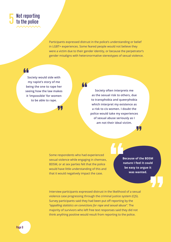

Participants expressed distrust in the police's understanding or belief in LGBT+ experiences. Some feared people would not believe they were a victim due to their gender identity, or because the perpetrator's gender misaligns with heteronormative stereotypes of sexual violence.

44

44

**Society would side with my rapist's story of me being the one to rape her seeing how the law makes it 'impossible' for women to be able to rape.**

95

**Society often interprets me as the sexual risk to others, due to transphobia and queerphobia which interpret my existence as a risk to cis women. I doubt the police would take my experiences of sexual abuse seriously as I am not their ideal victim.**

Some respondents who had experienced sexual violence while engaging in chemsex, BDSM, or at sex parties felt that the police would have little understanding of this and that it would negatively impact the case.

**Because of the BDSM nature I feel it could be easy to argue it was wanted.**

ŊŊ

Interview participants expressed distrust in the likelihood of a sexual violence case progressing through the criminal justice system (CJS). Survey participants said they had been put off reporting by the *"appalling statistics on convictions for rape and sexual abuse"*. The majority of survivors who left free text responses said they did not think anything positive would result from reporting to the police.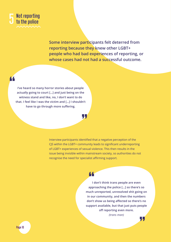

**Some interview participants felt deterred from reporting because they knew other LGBT+ people who had bad experiences of reporting, or whose cases had not had a successful outcome.**

**I've heard so many horror stories about people actually going to court […] and just being on the witness stand and like, no, I don't want to do that. I feel like I was the victim and […] I shouldn't have to go through more suffering.**

T.,

Interview participants identified that a negative perception of the CJS within the LGBT+ community leads to significant underreporting of LGBT+ experiences of sexual violence. This then results in the issue being invisible within mainstream society, so authorities do not recognise the need for specialist affirming support.

## 44

**I don't think trans people are even approaching the police […] so there's so much unreported, unresolved shit going on in our community, and then the numbers don't show us being affected so there's no support available, but that just puts people off reporting even more.** *(trans man)*

77

**Page 10**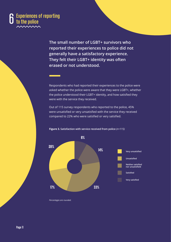#### 6 **Experiences of reporting to the police**

**The small number of LGBT+ survivors who reported their experiences to police did not generally have a satisfactory experience. They felt their LGBT+ identity was often erased or not understood.** 

Respondents who had reported their experiences to the police were asked whether the police were aware that they were LGBT+, whether the police understood their LGBT+ identity, and how satisfied they were with the service they received.

Out of 115 survey respondents who reported to the police, 45% were unsatisfied or very unsatisfied with the service they received **28% 17% 33% 14% 8%** compared to 22% who were satisfied or very satisfied.



**Figure 3. Satisfaction with service received from police** *(n=115)*

*Percentages are rounded.*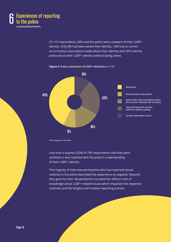

Of 119 respondents, 43% said the police were unaware of their LGBT+ identity. Only 8% had been asked their identity, 16% had to correct an erroneous assumption made about their identity and 23% told the police about their LGBT+ identity without being asked.



**Figure 4. Police awareness of LGBT+ identities** *(n=119)*

*Percentages are rounded.*

Less than a quarter (22%) of 106 respondents said they were satisfied or very satisfied with the police's understanding of their LGBT+ identity.

The majority of interview participants who had reported sexual violence to the police described the experience as negative. Reasons they gave for their dissatisfaction included the officers' lack of knowledge about LGBT+ related issues which impacted the response received, and the lengthy and invasive reporting process.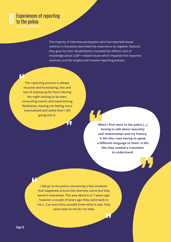# 6**Experiences of reporting to the police**

The majority of interview participants who had reported sexual violence to the police described the experience as negative. Reasons they gave for their dissatisfaction included the officers' lack of knowledge about LGBT+ related issues which impacted the response received, and the lengthy and invasive reporting process.

**The reporting process is always invasive and humiliating, lots and lots of staying up for hours during the night waiting to be seen, recounting events and experiencing flashbacks, leaving me feeling more traumatised and awful than I did going into it.**

> **When I first went to the police […] having to talk about sexuality and relationships and my history, it felt like I was having to speak a different language to them. It felt like they needed a translator to understand.**

**I did go to the police concerning a few incidents that happened around the chemsex scene but they weren't interested. This was about 6 or 7 years ago, however a couple of years ago they came back to me […] so once they actually knew what it was, they came back to me for my help.**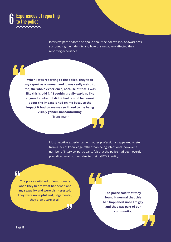

Interview participants also spoke about the police's lack of awareness surrounding their identity and how this negatively affected their reporting experience.

**When I was reporting to the police, they took my report as a woman and it was really weird to me, the whole experience, because of that. I was like this is odd […] I couldn't really explain, like anyone I spoke to I didn't feel I could be honest about the impact it had on me because the impact it had on me was so linked to me being visibly gender-nonconforming. (Trans man)** 

> Most negative experiences with other professionals appeared to stem from a lack of knowledge rather than being intentional, however a number of interview participants felt that the police had been overtly prejudiced against them due to their LGBT+ identity.

66

**The police switched off emotionally when they heard what happened and my sexuality and were disinterested. They were unhelpful and judgemental, they didn't care at all.**

**The police said that they found it normal that this had happened since I'm gay and that was part of our community.**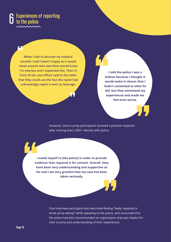

**When I had to disclose my medical records I said I wasn't happy as it would mean anyone who saw them would know I'm intersex and I explained this. Then in front of me, one officer said to the other that they could use the fact the rapist had unknowingly raped 'a man' as leverage.**

**I told the police I was a lesbian because I thought it would make it clearer that I hadn't consented to what he did, but they minimised my experiences and made me feel even worse.**

However, some survey participants received a positive response after sharing their LGBT+ identity with police.

**I outed myself to [the police] in order to provide evidence that required it for context. Overall, they have been very understanding and supportive so far and I am very grateful that my case has been taken seriously.**

> One interview participant also described feeling *"really respected in terms of my identity"* while speaking to the police, and recounted that the police had also recommended an organisation that was helpful for their trauma and understanding of their experiences.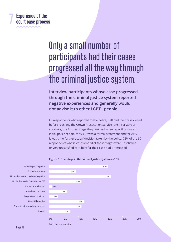# **Experience of the court case process**

 **Formal statement**

 *'No further action' decision by police* 

# Only a small number of participants had their cases progressed all the way through **20%** the criminal justice system. **9% 21%**

**Interview participants whose case progressed 1% through the criminal justice system reported 6% negative experiences and generally would 3% not advise it to other LGBT+ people. 11%**

Of respondents who reported to the police, half had their case closed before reaching the Crown Prosecution Service (CPS). For 20% of **0% 10% 20% 30% 40% 50%** survivors, the furthest stage they reached when reporting was an initial police report, for 9%, it was a formal statement and for 21%, it was a 'no further action' decision taken by the police. 72% of the 60 respondents whose cases ended at these stages were unsatisfied or very unsatisfied with how far their case had progressed.



#### **Figure 5. Final stage in the criminal justice system** *(n=119)*

*Percentages are rounded.*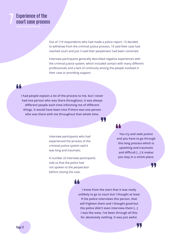# 7 **Experience of the court case process**

Out of 119 respondents who had made a police report, 13 decided to withdraw from the criminal justice process, 10 said their case had reached court and just 3 said their perpetrator had been convicted.

Interview participants generally described negative experiences with the criminal justice system, which included contact with many different professionals and a lack of continuity among the people involved in their case or providing support.

#### 44

**I had people explain a lot of the process to me, but I never had one person who was there throughout, it was always different people each time informing me of different things. It would have been nice if there was one person who was there with me throughout that whole time.**

Щ,

Interview participants who had experienced the process of the criminal justice system said it was long and traumatic.

A number of interview participants told us that the police had not spoken to the perpetrator before closing the case.

44

### 44

**You try and seek justice and you have to go through this long process which is upsetting and traumatic and difficult […] it makes you stay in a victim place.**

55

77

**I knew from the start that it was really unlikely to go to court but I thought at least if the police interviews this person, that will frighten them and I thought good but the police didn't even interview them […] I was like wow, I've been through all this for absolutely nothing. It was just awful.**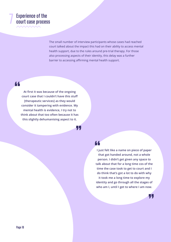# **Experience of the court case process**

The small number of interview participants whose cases had reached court talked about the impact this had on their ability to access mental health support, due to the rules around pre-trial therapy. For those also processing aspects of their identity, this delay was a further barrier to accessing affirming mental health support.

44

**At first it was because of the ongoing court case that I couldn't have this stuff [therapeutic services] as they would consider it tampering with evidence. My mental health is evidence, I try not to think about that too often because it has this slightly dehumanising aspect to it.**

## 44

- 17

**I just felt like a name on piece of paper that got handed around, not a whole person. I didn't get given any space to talk about that for a long time cos of the time the case took to get to court and I do think that's got a lot to do with why it took me a long time to explore my identity and go through all the stages of who am I, until I get to where I am now.**

.П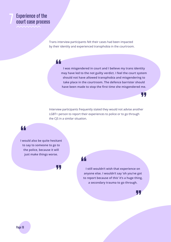# **Experience of the court case process**

Trans interview participants felt their cases had been impacted by their identity and experienced transphobia in the courtroom.

# 44

**I was misgendered in court and I believe my trans identity may have led to the not guilty verdict. I feel the court system should not have allowed transphobia and misgendering to take place in the courtroom. The defence barrister should have been made to stop the first time she misgendered me.**

Interview participants frequently stated they would not advise another LGBT+ person to report their experiences to police or to go through the CJS in a similar situation.

#### 44

**I would also be quite hesitant to say to someone to go to the police, because it will just make things worse.**

55

#### 44

**I still wouldn't wish that experience on anyone else. I wouldn't say 'oh you've got to report because of this' it's a huge thing, a secondary trauma to go through.**



77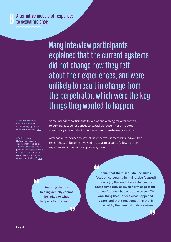Many interview participants explained that the current systems did not change how they felt about their experiences, and were unlikely to result in change from the perpetrator, which were the key things they wanted to happen.

**3** Feminist Pedagogy: Building Community Accountability by Laurie Fuller and Ann Russo **[Link](https://www.jstor.org/stable/10.5406/femteacher.26.2-3.0179)**

**4** An Overview of the History and Theory of Transformative Justice by Anthony J. Nocella: "a new [criminal justice] system void of punitive punishment and repressive forms of social control and discipline" **[Link](http://www.antoniocasella.eu/restorative/Nocella_2011.pdf)**

Some interview participants talked about wishing for alternatives to criminal justice responses to sexual violence. These included community accountability**<sup>3</sup>** processes and transformative justice**<sup>4</sup>** .

Alternative responses to sexual violence was something survivors had researched, or become involved in activism around, following their experiences of the criminal justice system.

**Realising that my healing actually cannot be linked to what happens to this person.**

**I think that there shouldn't be such a focus on carceral [criminal justice focused] projects […] the kind of idea that you can cause somebody as much harm as possible. It doesn't undo what was done to you. The only thing that undoes what happened is care, and that's not something that is provided by the criminal justice system.**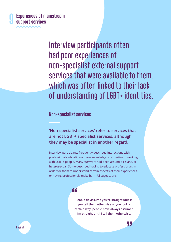

Interview participants often had poor experiences of non-specialist external support services that were available to them, which was often linked to their lack of understanding of LGBT+ identities.

#### **Non-specialist services**

**'Non-specialist services' refer to services that are not LGBT+ specialist services, although they may be specialist in another regard.** 

Interview participants frequently described interactions with professionals who did not have knowledge or expertise in working with LGBT+ people. Many survivors had been assumed cis and/or heterosexual. Some described having to educate professionals in order for them to understand certain aspects of their experiences, or having professionals make harmful suggestions.

# 44

**People do assume you're straight unless you tell them otherwise or you look a certain way, people have always assumed I'm straight until I tell them otherwise.**

77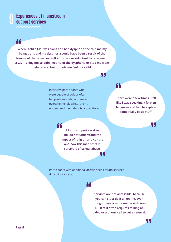## 9**Experiences of mainstream support services**

66

**When I told a GP I was trans and had dysphoria she told me my being trans and my dysphoria could have been a result of the trauma of the sexual assault and she was reluctant to refer me to a GIC. Telling me so didn't get rid of the dysphoria or stop me from being trans, but it made me feel not valid.**

> Interview participants who were people of colour often felt professionals, who were overwhelmingly white, did not understand their identity and culture.

#### 66

77

77

**There were a few times I felt like I was speaking a foreign language and had to explain some really basic stuff.**

77

55

" **A lot of support services still do not understand the impact of religion and culture and how this manifests in survivors of sexual abuse.**

Participants with additional access needs found services difficult to access.



**Services are not accessible, because you can't just do it all online. Even though there is more online stuff now […] it still often requires talking on video or a phone call to get a referral.**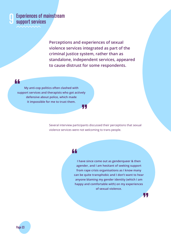

9**Experiences of mainstream support services**

> **Perceptions and experiences of sexual violence services integrated as part of the criminal justice system, rather than as standalone, independent services, appeared to cause distrust for some respondents.**

66

**My anti-cop politics often clashed with support services and therapists who got actively defensive about police, which made it impossible for me to trust them.**

> Several interview participants discussed their perceptions that sexual violence services were not welcoming to trans people.

Ψ,

### 44

**I have since come out as genderqueer & then agender, and I am hesitant of seeking support from rape crisis organisations as I know many can be quite transphobic and I don't want to hear anyone blaming my gender identity (which I am happy and comfortable with) on my experiences of sexual violence.**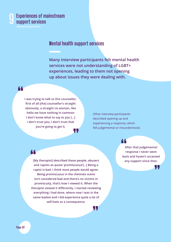

44

## 9**Experiences of mainstream support services**

### **Mental health support services**

45

**Many interview participants felt mental health services were not understanding of LGBT+ experiences, leading to them not opening up about issues they were dealing with.**

Y.,

**I was trying to talk to this counsellor, first of all [the] counsellor's straight obviously, a straight cis woman, like hello we have nothing in common I don't know what to say to you […] I don't trust you, I don't trust that you're going to get it.**

Other interview participants described opening up and experiencing a response, which felt judgemental or misunderstood.

44

**any support since then. [My therapist] described these people, abusers and rapists as quote 'promiscuous'[…] Being a rapist is bad, I think most people would agree. Being promiscuous in the chemsex scene isn't considered bad and there's no victims in promiscuity, that's how I viewed it. When the therapist viewed it differently, I started reviewing everything I had done, where now I was in the same basket and I did experience quite a lot of self-hate as a consequence.**

#### 44

**After that judgemental response I never went back and haven't accessed** 

. . .

**Page 24**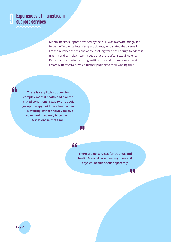

44

# 9**Experiences of mainstream support services**

Mental health support provided by the NHS was overwhelmingly felt to be ineffective by interview participants, who stated that a small, limited number of sessions of counselling were not enough to address trauma and complex health needs that arose after sexual violence. Participants experienced long waiting lists and professionals making errors with referrals, which further prolonged their waiting time.

**There is very little support for complex mental health and trauma related conditions. I was told to avoid group therapy but I have been on an NHS waiting list for therapy for five years and have only been given 6 sessions in that time.**

#### 44

77

**There are no services for trauma, and health & social care treat my mental & physical health needs separately.**

47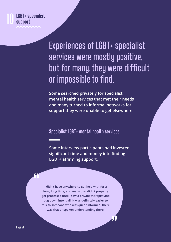

Experiences of LGBT+ specialist services were mostly positive, but for many, they were difficult or impossible to find.

**Some searched privately for specialist mental health services that met their needs and many turned to informal networks for support they were unable to get elsewhere.** 

**Specialist LGBT+ mental health services**

**Some interview participants had invested significant time and money into finding LGBT+ affirming support.** 

**I didn't have anywhere to get help with for a long, long time, and really that didn't properly get processed until I saw a private therapist and dug down into it all. It was definitely easier to talk to someone who was queer informed, there was that unspoken understanding there.**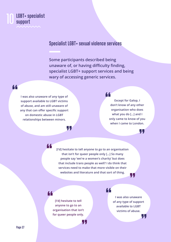#### **LGBT+ specialist support** 10

#### **Specialist LGBT+ sexual violence services**

**Some participants described being unaware of, or having difficulty finding, specialist LGBT+ support services and being wary of accessing generic services.** 

66

**I was also unaware of any type of support available to LGBT victims of abuse, and am still unaware of any that can offer specific support on domestic abuse in LGBT relationships between minors.**

#### 66

**Except for Galop, I don't know of any other organisation who does what you do […] and I only came to know of you when I came to London.**

L I

**[I'd] hesitate to tell anyone to go to an organisation that isn't for queer people only […] So many people say 'we're a women's charity' but does that include trans people as well? I do think that services need to make that more visible on their websites and literature and that sort of thing.**

. . .

44

44

**[I'd] hesitate to tell anyone to go to an organisation that isn't for queer people only.**

47

T. J

44

**I was also unaware of any type of support available to LGBT victims of abuse.**

┞┣.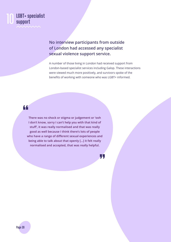

**No interview participants from outside of London had accessed any specialist sexual violence support service.** 

A number of those living in London had received support from London-based specialist services including Galop. These interactions were viewed much more positively, and survivors spoke of the benefits of working with someone who was LGBT+ informed.

#### 44

**There was no shock or stigma or judgement or 'ooh I don't know, sorry I can't help you with that kind of stuff', it was really normalised and that was really good as well because I think there's lots of people who have a range of different sexual experiences and being able to talk about that openly […] it felt really normalised and accepted, that was really helpful.**

Л.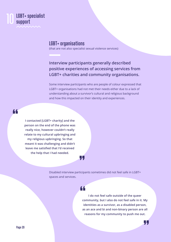#### **LGBT+ specialist support** 10

#### **LGBT+ organisations**

(that are not also specialist sexual violence services)

#### **Interview participants generally described positive experiences of accessing services from LGBT+ charities and community organisations.**

Some interview participants who are people of colour expressed that LGBT+ organisations had not met their needs either due to a lack of understanding about a survivor's cultural and religious background and how this impacted on their identity and experiences.

66

**I contacted [LGBT+ charity] and the person on the end of the phone was really nice, however couldn't really relate to my cultural upbringing and my religious upbringing. So that meant it was challenging and didn't leave me satisfied that I'd received the help that I had needed.**

> Disabled interview participants sometimes did not feel safe in LGBT+ spaces and services.

#### 44

**I do not feel safe outside of the queer community, but I also do not feel safe in it. My identities as a survivor, as a disabled person, as an ace and bi and non-binary person are all reasons for my community to push me out.**

┞┠╷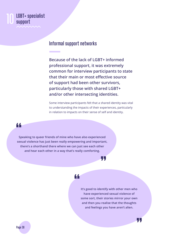# **LGBT+ specialist<br>support**

#### **Informal support networks**

**Because of the lack of LGBT+ informed professional support, it was extremely common for interview participants to state that their main or most effective source of support had been other survivors, particularly those with shared LGBT+ and/or other intersecting identities.**

Some interview participants felt that a shared identity was vital to understanding the impacts of their experiences, particularly in relation to impacts on their sense of self and identity.

44

**Speaking to queer friends of mine who have also experienced sexual violence has just been really empowering and important, there's a shorthand there where we can just see each other and hear each other in a way that's really comforting.**

# Щ,

### 44

**It's good to identify with other men who have experienced sexual violence of some sort, their stories mirror your own and then you realise that the thoughts and feelings you have aren't alien.** 

П.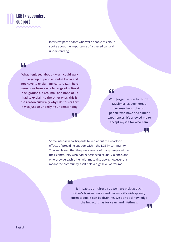

Interview participants who were people of colour spoke about the importance of a shared cultural understanding.

66

**What I enjoyed about it was I could walk into a group of people I didn't know and not have to explain my culture [...] There were guys from a whole range of cultural backgrounds, a real mix, and none of us had to explain to the other ones 'this is the reason culturally why I do this or this' it was just an underlying understanding.**

L L J

44

**With [organisation for LGBT+ Muslims] it's been great, because I've spoken to people who have had similar experiences; it's allowed me to accept myself for who I am.**

41

Some interview participants talked about the knock-on effects of providing support within the LGBT+ community. They explained that they were aware of many people within their community who had experienced sexual violence, and who provide each other with mutual support, however this meant the community itself held a high level of trauma.

66

**It impacts us indirectly as well, we pick up each other's broken pieces and because it's widespread, often taboo, it can be draining. We don't acknowledge the impact it has for years and lifetimes.** ,T,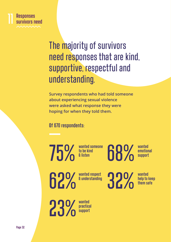

# The majority of survivors need responses that are kind, supportive, respectful and understanding.

**Survey respondents who had told someone about experiencing sexual violence were asked what response they were hoping for when they told them.**

**Of 670 respondents:**

75%

**wanted someone to be kind & listen**

68%

**wanted emotional support**

62%

**wanted respect & understanding** 32%

**wanted help to keep them safe**

**wanted practical support** 23%

**Page 32**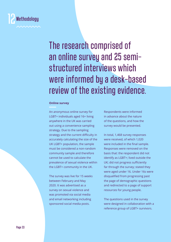

The research comprised of an online survey and 25 semistructured interviews which were informed by a desk-based review of the existing evidence.

#### **Online survey**

An anonymous online survey for LGBT+ individuals aged 16+ living anywhere in the UK was carried out using a convenience sampling strategy. Due to the sampling strategy and the current difficulty in accurately calculating the size of the UK LGBT+ population, the sample must be considered a non-random community sample and therefore cannot be used to calculate the prevalence of sexual violence within the LGBT+ community in the UK.

The survey was live for 15 weeks between February and May 2020. It was advertised as a survey on sexual violence and was promoted via social media and email networking including sponsored social media posts.

Respondents were informed in advance about the nature of the questions, and how the survey would be presented.

In total, 1,468 survey responses were received, of which 1,020 were included in the final sample. Responses were removed on the basis that: the respondent did not identify as LGBT+; lived outside the UK; did not progress sufficiently far through the survey; stated they were aged under 16. Under 16s were disqualified from progressing past the page of demographic questions and redirected to a page of support resources for young people.

The questions used in the survey were designed in collaboration with a reference group of LGBT+ survivors.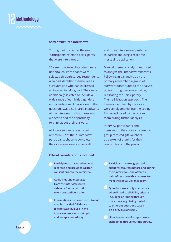

#### **Semi-structured interviews**

Throughout the report the use of 'participants' refers to participants that were interviewed.

25 semi-structured interviews were undertaken. Participants were selected through survey respondents who had identified themselves as survivors and who had expressed an interest in taking part. They were additionally selected to include a wide range of ethnicities, genders and orientations. An overview of the questions was also shared in advance of the interview, so that those who wished to had the opportunity to think about their answers.

All interviews were conducted remotely. 22 of the 25 interview participants chose to complete their interview over a video call

#### **Ethical considerations included:**

- **Participants consented to being recorded and provided written consent prior to the interview.**
- **Audio files and messages from the interviews were deleted after transcription to ensure confidentiality.**
- **Information sheets and recruitment emails provided full details to what was involved in the interview process in a simple and non-pressured way.**

and three interviewees preferred to participate using a real-time messaging application.

Manual thematic analysis was used to analyse the interview transcripts. Following initial analysis by the primary researcher, a group of survivors contributed to the analysis phase through various activities, replicating the Participatory Theme Elicitation approach. The themes identified by survivors were amalgamated into the coding framework used by the research team during further analysis.

Interview participants and members of the survivor reference group received gift vouchers as a token of thanks for their contributions to the project.

- **Participants were signposted to support resources before and during their interviews, and offered a debrief session with a caseworker from the sexual violence team.**
- **Questions were only mandatory when linked to eligibility criteria (e.g. age), or routing through the survey (e.g., being routed to different questions based on a previous answer).**
- **Links to sources of support were signposted throughout the survey.**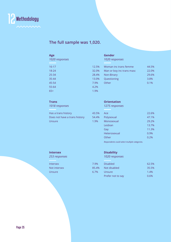

#### **The full sample was 1,020.**

#### **Age**

| 1020 responses |       |
|----------------|-------|
| $16 - 17$      | 12.5% |
| $18 - 24$      | 32.0% |
| 25-34          | 28.4% |
| $35 - 44$      | 13.0% |
| 45-54          | 7.9%  |
| 55-64          | 4.2%  |
| $65+$          | 1.9%  |

#### **Gender** *1020 responses*

| .5%    | Woman inc trans femme     | 44.5% |
|--------|---------------------------|-------|
| .0%    | Man or boy inc trans masc | 22.0% |
| $.4\%$ | Non-Binary                | 29.6% |
| .0%    | Questioning               | 3.8%  |
| 9%     | Other                     | 0.1%  |
| 2%     |                           |       |
| 9%     |                           |       |

#### **Trans**

*1018 responses*

Has a trans history **43.5%** Does not have a trans history 54.4% Unsure 1.9%

#### **Orientation**

*1275 responses*

| Ace          | 22.6% |
|--------------|-------|
| Polysexual   | 47.1% |
| Monosexual   | 29.2% |
| Lesbian      | 13.7% |
| Gay          | 11.3% |
| Heterosexual | 0.9%  |
| Other        | 0.2%  |
|              |       |

*Respondents could select multiple categories.* 

#### **Intersex**

*253 responses*

Intersex 7.9% and 2.9% and 2.9% and 2.9% and 2.9% and 2.9% and 2.9% and 2.9% and 2.9% and 2.9% and 2.9% and 2.9% and 2.9% and 2.9% and 2.9% and 2.9% and 2.9% and 2.9% and 2.9% and 2.9% and 2.9% and 2.9% and 2.9% and 2.9% a Not intersex 85.4% and 1.4% and 1.4% and 1.4% and 1.4% and 1.4% and 1.4% and 1.4% and 1.4% and 1.4% and 1.4% a Unsure 6.7%

#### **Disability**

*1020 responses*

| $.9\%$   | <b>Disabled</b>   | 62.5% |
|----------|-------------------|-------|
| $35.4\%$ | Not disabled      | 35.5% |
| $.7\%$   | Unsure            | 1.4%  |
|          | Prefer not to say | 0.6%  |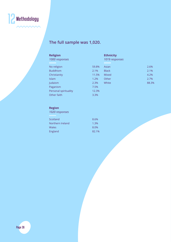

# **The full sample was 1,020.**

| <b>Religion</b><br>1000 responses |       | <b>Ethnicity</b><br>1019 responses |       |
|-----------------------------------|-------|------------------------------------|-------|
| No religion                       | 59.8% | Asian                              | 2.6%  |
| <b>Buddhism</b>                   | 2.1%  | <b>Black</b>                       | 2.1%  |
| Christianity                      | 11.5% | <b>Mixed</b>                       | 4.2%  |
| <b>Islam</b>                      | 1.2%  | Other                              | 2.7%  |
| Judaism                           | 2.3%  | White                              | 88.3% |
| Paganism                          | 7.5%  |                                    |       |
| Personal spirituality             | 12.3% |                                    |       |
| Other faith                       | 3.3%  |                                    |       |

#### **Region**

*1020 responses*

| Scotland         | 8.6%  |
|------------------|-------|
| Northern Ireland | 1.3%  |
| Wales            | 8.0%  |
| England          | 82.1% |